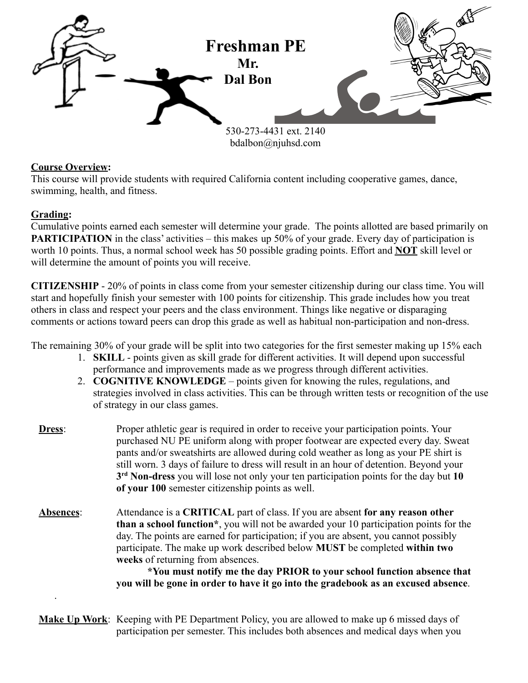

## **Course Overview:**

This course will provide students with required California content including cooperative games, dance, swimming, health, and fitness.

## **Grading:**

.

Cumulative points earned each semester will determine your grade. The points allotted are based primarily on **PARTICIPATION** in the class' activities – this makes up 50% of your grade. Every day of participation is worth 10 points. Thus, a normal school week has 50 possible grading points. Effort and **NOT** skill level or will determine the amount of points you will receive.

**CITIZENSHIP** - 20% of points in class come from your semester citizenship during our class time. You will start and hopefully finish your semester with 100 points for citizenship. This grade includes how you treat others in class and respect your peers and the class environment. Things like negative or disparaging comments or actions toward peers can drop this grade as well as habitual non-participation and non-dress.

The remaining 30% of your grade will be split into two categories for the first semester making up 15% each

- 1. **SKILL** points given as skill grade for different activities. It will depend upon successful performance and improvements made as we progress through different activities.
- 2. **COGNITIVE KNOWLEDGE** points given for knowing the rules, regulations, and strategies involved in class activities. This can be through written tests or recognition of the use of strategy in our class games.
- **Dress**: Proper athletic gear is required in order to receive your participation points. Your purchased NU PE uniform along with proper footwear are expected every day. Sweat pants and/or sweatshirts are allowed during cold weather as long as your PE shirt is still worn. 3 days of failure to dress will result in an hour of detention. Beyond your **3 rd Non-dress** you will lose not only your ten participation points for the day but **10 of your 100** semester citizenship points as well.
- **Absences**: Attendance is a **CRITICAL** part of class. If you are absent **for any reason other than a school function\***, you will not be awarded your 10 participation points for the day. The points are earned for participation; if you are absent, you cannot possibly participate. The make up work described below **MUST** be completed **within two weeks** of returning from absences.

**\*You must notify me the day PRIOR to your school function absence that you will be gone in order to have it go into the gradebook as an excused absence**.

**Make Up Work**: Keeping with PE Department Policy, you are allowed to make up 6 missed days of participation per semester. This includes both absences and medical days when you